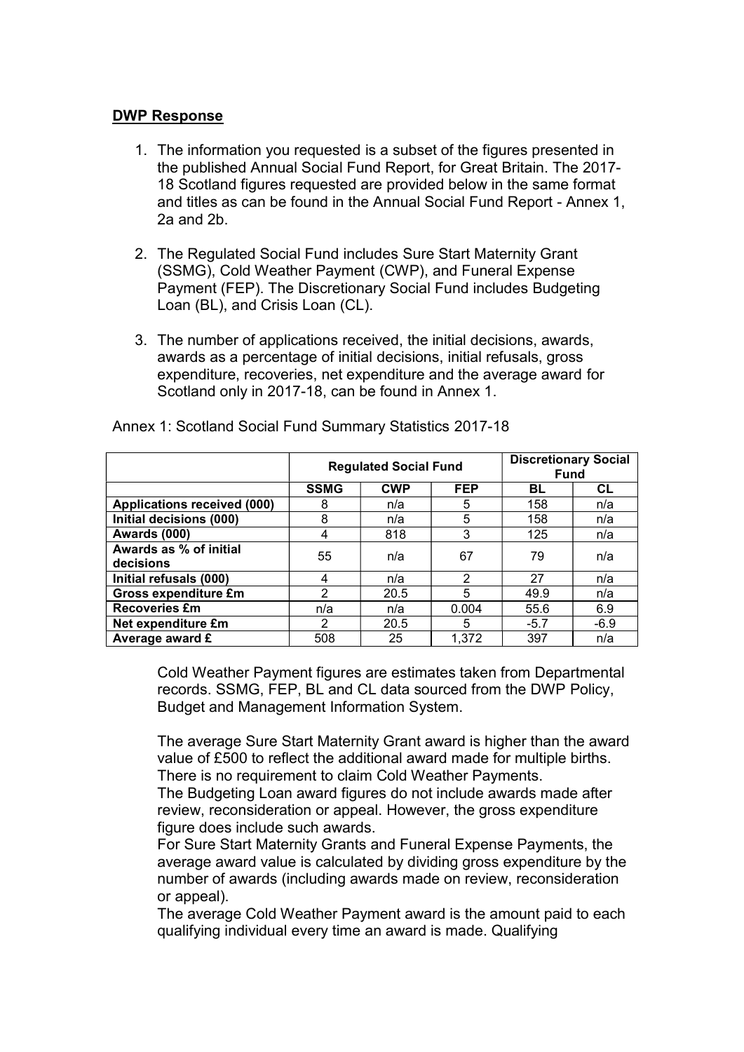## DWP Response

- 1. The information you requested is a subset of the figures presented in the published Annual Social Fund Report, for Great Britain. The 2017- 18 Scotland figures requested are provided below in the same format and titles as can be found in the Annual Social Fund Report - Annex 1, 2a and 2b.
- 2. The Regulated Social Fund includes Sure Start Maternity Grant (SSMG), Cold Weather Payment (CWP), and Funeral Expense Payment (FEP). The Discretionary Social Fund includes Budgeting Loan (BL), and Crisis Loan (CL).
- 3. The number of applications received, the initial decisions, awards, awards as a percentage of initial decisions, initial refusals, gross expenditure, recoveries, net expenditure and the average award for Scotland only in 2017-18, can be found in Annex 1.

|                                     | <b>Regulated Social Fund</b> |            |               | <b>Discretionary Social</b><br><b>Fund</b> |        |
|-------------------------------------|------------------------------|------------|---------------|--------------------------------------------|--------|
|                                     | <b>SSMG</b>                  | <b>CWP</b> | <b>FEP</b>    | BL                                         | CL     |
| <b>Applications received (000)</b>  | 8                            | n/a        | 5             | 158                                        | n/a    |
| Initial decisions (000)             | 8                            | n/a        | 5             | 158                                        | n/a    |
| Awards (000)                        | 4                            | 818        | 3             | 125                                        | n/a    |
| Awards as % of initial<br>decisions | 55                           | n/a        | 67            | 79                                         | n/a    |
| Initial refusals (000)              | 4                            | n/a        | $\mathcal{P}$ | 27                                         | n/a    |
| <b>Gross expenditure £m</b>         | ົ                            | 20.5       | 5             | 49.9                                       | n/a    |
| <b>Recoveries £m</b>                | n/a                          | n/a        | 0.004         | 55.6                                       | 6.9    |
| Net expenditure £m                  | ົ                            | 20.5       | 5.            | $-5.7$                                     | $-6.9$ |
| Average award £                     | 508                          | 25         | 1,372         | 397                                        | n/a    |

Annex 1: Scotland Social Fund Summary Statistics 2017-18

Cold Weather Payment figures are estimates taken from Departmental records. SSMG, FEP, BL and CL data sourced from the DWP Policy, Budget and Management Information System.

The average Sure Start Maternity Grant award is higher than the award value of £500 to reflect the additional award made for multiple births. There is no requirement to claim Cold Weather Payments.

The Budgeting Loan award figures do not include awards made after review, reconsideration or appeal. However, the gross expenditure figure does include such awards.

For Sure Start Maternity Grants and Funeral Expense Payments, the average award value is calculated by dividing gross expenditure by the number of awards (including awards made on review, reconsideration or appeal).

The average Cold Weather Payment award is the amount paid to each qualifying individual every time an award is made. Qualifying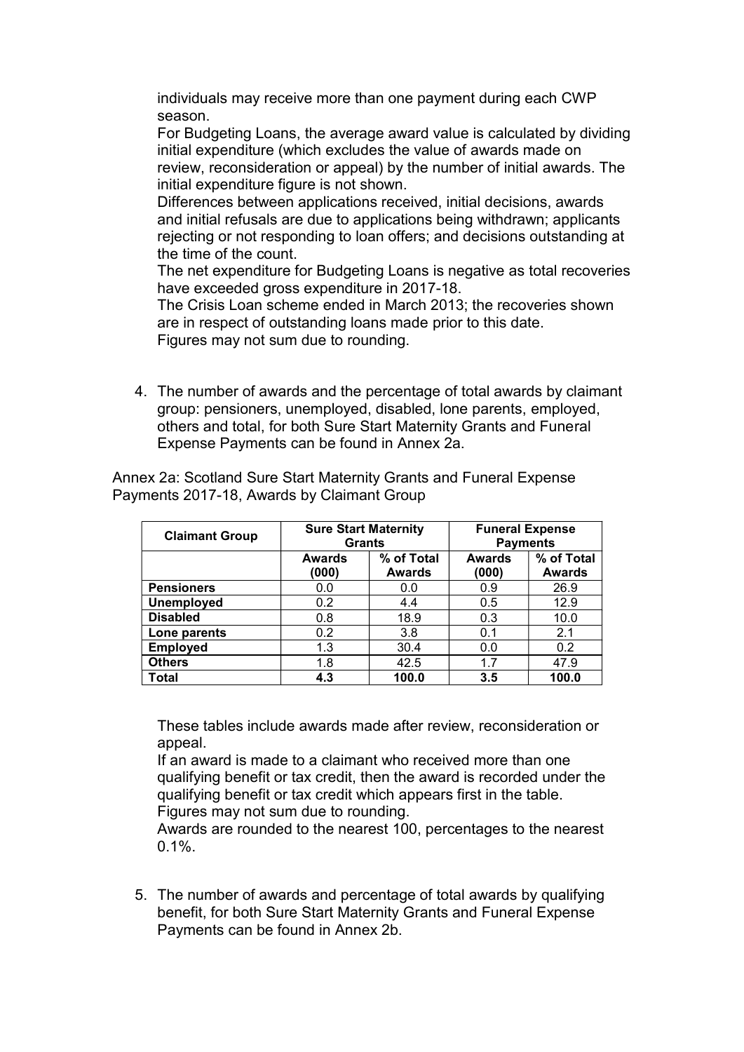individuals may receive more than one payment during each CWP season.

For Budgeting Loans, the average award value is calculated by dividing initial expenditure (which excludes the value of awards made on review, reconsideration or appeal) by the number of initial awards. The initial expenditure figure is not shown.

Differences between applications received, initial decisions, awards and initial refusals are due to applications being withdrawn; applicants rejecting or not responding to loan offers; and decisions outstanding at the time of the count.

The net expenditure for Budgeting Loans is negative as total recoveries have exceeded gross expenditure in 2017-18.

The Crisis Loan scheme ended in March 2013; the recoveries shown are in respect of outstanding loans made prior to this date. Figures may not sum due to rounding.

4. The number of awards and the percentage of total awards by claimant group: pensioners, unemployed, disabled, lone parents, employed, others and total, for both Sure Start Maternity Grants and Funeral Expense Payments can be found in Annex 2a.

| <b>Claimant Group</b> | <b>Sure Start Maternity</b><br><b>Grants</b> |                             |                        | <b>Funeral Expense</b><br><b>Payments</b> |
|-----------------------|----------------------------------------------|-----------------------------|------------------------|-------------------------------------------|
|                       | <b>Awards</b><br>(000)                       | % of Total<br><b>Awards</b> | <b>Awards</b><br>(000) | % of Total<br><b>Awards</b>               |
| <b>Pensioners</b>     | 0.0                                          | 0.0                         | 0.9                    | 26.9                                      |
| <b>Unemployed</b>     | 0.2                                          | 4.4                         | 0.5                    | 12.9                                      |
| <b>Disabled</b>       | 0.8                                          | 18.9                        | 0.3                    | 10.0                                      |
| Lone parents          | 0.2                                          | 3.8                         | 0.1                    | 2.1                                       |
| <b>Employed</b>       | 1.3                                          | 30.4                        | 0.0                    | 0.2                                       |
| <b>Others</b>         | 1.8                                          | 42.5                        | 1.7                    | 47.9                                      |
| <b>Total</b>          | 4.3                                          | 100.0                       | 3.5                    | 100.0                                     |

Annex 2a: Scotland Sure Start Maternity Grants and Funeral Expense Payments 2017-18, Awards by Claimant Group

These tables include awards made after review, reconsideration or appeal.

If an award is made to a claimant who received more than one qualifying benefit or tax credit, then the award is recorded under the qualifying benefit or tax credit which appears first in the table. Figures may not sum due to rounding.

Awards are rounded to the nearest 100, percentages to the nearest 0.1%.

5. The number of awards and percentage of total awards by qualifying benefit, for both Sure Start Maternity Grants and Funeral Expense Payments can be found in Annex 2b.